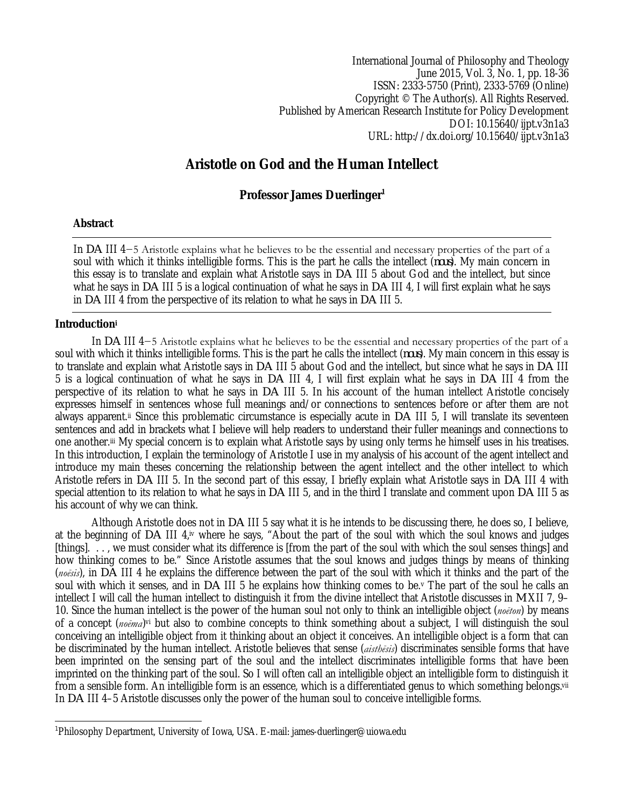International Journal of Philosophy and Theology June 2015, Vol. 3, No. 1, pp. 18-36 ISSN: 2333-5750 (Print), 2333-5769 (Online) Copyright © The Author(s). All Rights Reserved. Published by American Research Institute for Policy Development DOI: 10.15640/ijpt.v3n1a3 URL: http://dx.doi.org/10.15640/ijpt.v3n1a3

# **Aristotle on God and the Human Intellect**

# **Professor James Duerlinger<sup>1</sup>**

# **Abstract**

In *DA* III 4−5 Aristotle explains what he believes to be the essential and necessary properties of the part of a soul with which it thinks intelligible forms. This is the part he calls the intellect (*nous*). My main concern in this essay is to translate and explain what Aristotle says in *DA* III 5 about God and the intellect, but since what he says in *DA* III 5 is a logical continuation of what he says in *DA* III 4, I will first explain what he says in *DA* III 4 from the perspective of its relation to what he says in *DA* III 5.

## **Introduction<sup>i</sup>**

In *DA* III 4−5 Aristotle explains what he believes to be the essential and necessary properties of the part of a soul with which it thinks intelligible forms. This is the part he calls the intellect (*nous*). My main concern in this essay is to translate and explain what Aristotle says in *DA* III 5 about God and the intellect, but since what he says in *DA* III 5 is a logical continuation of what he says in *DA* III 4, I will first explain what he says in *DA* III 4 from the perspective of its relation to what he says in *DA* III 5. In his account of the human intellect Aristotle concisely expresses himself in sentences whose full meanings and/or connections to sentences before or after them are not always apparent.ii Since this problematic circumstance is especially acute in *DA* III 5, I will translate its seventeen sentences and add in brackets what I believe will help readers to understand their fuller meanings and connections to one another.iii My special concern is to explain what Aristotle says by using only terms he himself uses in his treatises. In this introduction, I explain the terminology of Aristotle I use in my analysis of his account of the agent intellect and introduce my main theses concerning the relationship between the agent intellect and the other intellect to which Aristotle refers in *DA* III 5. In the second part of this essay, I briefly explain what Aristotle says in *DA* III 4 with special attention to its relation to what he says in *DA* III 5, and in the third I translate and comment upon *DA* III 5 as his account of why we can think.

Although Aristotle does not in *DA* III 5 say what it is he intends to be discussing there, he does so, I believe, at the beginning of *DA* III 4,iv where he says, "About the part of the soul with which the soul knows and judges [things]. . . , we must consider what its difference is [from the part of the soul with which the soul senses things] and how thinking comes to be." Since Aristotle assumes that the soul knows and judges things by means of thinking (*noēsis*), in *DA* III 4 he explains the difference between the part of the soul with which it thinks and the part of the soul with which it senses, and in *DA* III 5 he explains how thinking comes to be.<sup>v</sup> The part of the soul he calls an intellect I will call the human intellect to distinguish it from the divine intellect that Aristotle discusses in *M* XII 7, 9– 10. Since the human intellect is the power of the human soul not only to think an intelligible object (*noēton*) by means of a concept (*noēma*)<sup>vi</sup> but also to combine concepts to think something about a subject, I will distinguish the soul conceiving an intelligible object from it thinking about an object it conceives. An intelligible object is a form that can be discriminated by the human intellect. Aristotle believes that sense (*aisthēsis*) discriminates sensible forms that have been imprinted on the sensing part of the soul and the intellect discriminates intelligible forms that have been imprinted on the thinking part of the soul. So I will often call an intelligible object an intelligible form to distinguish it from a sensible form. An intelligible form is an essence, which is a differentiated genus to which something belongs.vii In *DA* III 4–5 Aristotle discusses only the power of the human soul to conceive intelligible forms.

 $\overline{a}$ 1 Philosophy Department, University of Iowa, USA. E-mail: james-duerlinger@uiowa.edu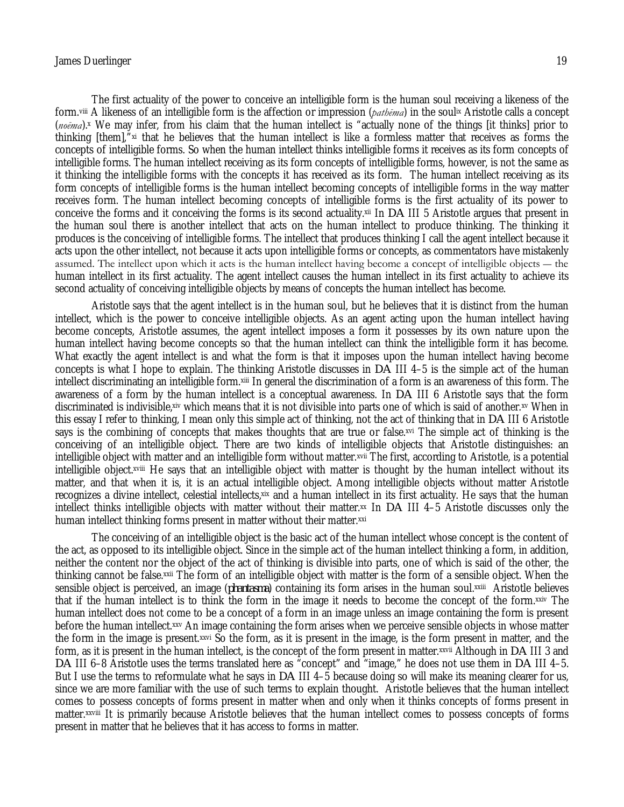The first actuality of the power to conceive an intelligible form is the human soul receiving a likeness of the form.viii A likeness of an intelligible form is the affection or impression (*pathēma*) in the soulix Aristotle calls a concept (*noēma*).<sup>x</sup> We may infer, from his claim that the human intellect is "actually none of the things [it thinks] prior to thinking [them],"xi that he believes that the human intellect is like a formless matter that receives as forms the concepts of intelligible forms. So when the human intellect thinks intelligible forms it receives as its form concepts of intelligible forms. The human intellect receiving as its form concepts of intelligible forms, however, is not the same as it thinking the intelligible forms with the concepts it has received as its form. The human intellect receiving as its form concepts of intelligible forms is the human intellect becoming concepts of intelligible forms in the way matter receives form. The human intellect becoming concepts of intelligible forms is the first actuality of its power to conceive the forms and it conceiving the forms is its second actuality.xii In *DA* III 5 Aristotle argues that present in the human soul there is another intellect that acts on the human intellect to produce thinking. The thinking it produces is the conceiving of intelligible forms. The intellect that produces thinking I call the agent intellect because it acts upon the other intellect, not because it acts upon intelligible forms or concepts, as commentators have mistakenly assumed. The intellect upon which it acts is the human intellect having become a concept of intelligible objects ― the human intellect in its first actuality. The agent intellect causes the human intellect in its first actuality to achieve its second actuality of conceiving intelligible objects by means of concepts the human intellect has become.

Aristotle says that the agent intellect is in the human soul, but he believes that it is distinct from the human intellect, which is the power to conceive intelligible objects. As an agent acting upon the human intellect having become concepts, Aristotle assumes, the agent intellect imposes a form it possesses by its own nature upon the human intellect having become concepts so that the human intellect can think the intelligible form it has become. What exactly the agent intellect is and what the form is that it imposes upon the human intellect having become concepts is what I hope to explain. The thinking Aristotle discusses in *DA* III 4–5 is the simple act of the human intellect discriminating an intelligible form.xiii In general the discrimination of a form is an awareness of this form. The awareness of a form by the human intellect is a conceptual awareness. In *DA* III 6 Aristotle says that the form discriminated is indivisible,xiv which means that it is not divisible into parts one of which is said of another.xv When in this essay I refer to thinking, I mean only this simple act of thinking, not the act of thinking that in *DA* III 6 Aristotle says is the combining of concepts that makes thoughts that are true or false.xvi The simple act of thinking is the conceiving of an intelligible object. There are two kinds of intelligible objects that Aristotle distinguishes: an intelligible object with matter and an intelligible form without matter.xvii The first, according to Aristotle, is a potential intelligible object.xviii He says that an intelligible object with matter is thought by the human intellect without its matter, and that when it is, it is an actual intelligible object. Among intelligible objects without matter Aristotle recognizes a divine intellect, celestial intellects, xix and a human intellect in its first actuality. He says that the human intellect thinks intelligible objects with matter without their matter.<sup>xx</sup> In *DA* III 4–5 Aristotle discusses only the human intellect thinking forms present in matter without their matter.xxi

The conceiving of an intelligible object is the basic act of the human intellect whose concept is the content of the act, as opposed to its intelligible object. Since in the simple act of the human intellect thinking a form, in addition, neither the content nor the object of the act of thinking is divisible into parts, one of which is said of the other, the thinking cannot be false.xxii The form of an intelligible object with matter is the form of a sensible object. When the sensible object is perceived, an image (*phantasma*) containing its form arises in the human soul.¤¤iii) Aristotle believes that if the human intellect is to think the form in the image it needs to become the concept of the form.xxiv The human intellect does not come to be a concept of a form in an image unless an image containing the form is present before the human intellect.xxv An image containing the form arises when we perceive sensible objects in whose matter the form in the image is present.xxvi So the form, as it is present in the image, is the form present in matter, and the form, as it is present in the human intellect, is the concept of the form present in matter.xxvii Although in *DA* III 3 and *DA* III 6–8 Aristotle uses the terms translated here as "concept" and "image," he does not use them in *DA* III 4–5. But I use the terms to reformulate what he says in *DA* III 4–5 because doing so will make its meaning clearer for us, since we are more familiar with the use of such terms to explain thought. Aristotle believes that the human intellect comes to possess concepts of forms present in matter when and only when it thinks concepts of forms present in matter.xxviii It is primarily because Aristotle believes that the human intellect comes to possess concepts of forms present in matter that he believes that it has access to forms in matter.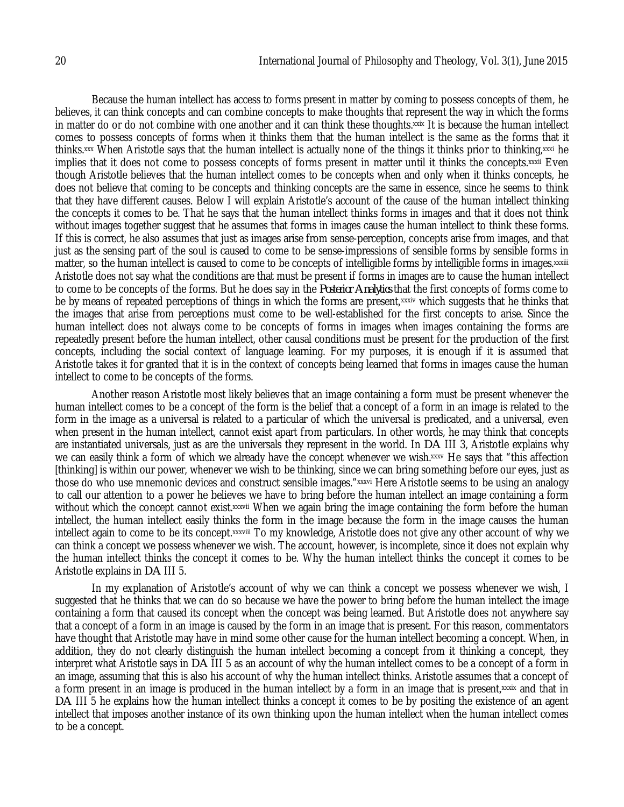Because the human intellect has access to forms present in matter by coming to possess concepts of them, he believes, it can think concepts and can combine concepts to make thoughts that represent the way in which the forms in matter do or do not combine with one another and it can think these thoughts.xxix It is because the human intellect comes to possess concepts of forms when it thinks them that the human intellect is the same as the forms that it thinks.xxx When Aristotle says that the human intellect is actually none of the things it thinks prior to thinking,xxxi he implies that it does not come to possess concepts of forms present in matter until it thinks the concepts.xxxii Even though Aristotle believes that the human intellect comes to be concepts when and only when it thinks concepts, he does not believe that coming to be concepts and thinking concepts are the same in essence, since he seems to think that they have different causes. Below I will explain Aristotle's account of the cause of the human intellect thinking the concepts it comes to be. That he says that the human intellect thinks forms in images and that it does not think without images together suggest that he assumes that forms in images cause the human intellect to think these forms. If this is correct, he also assumes that just as images arise from sense-perception, concepts arise from images, and that just as the sensing part of the soul is caused to come to be sense-impressions of sensible forms by sensible forms in matter, so the human intellect is caused to come to be concepts of intelligible forms by intelligible forms in images. xxxiii Aristotle does not say what the conditions are that must be present if forms in images are to cause the human intellect to come to be concepts of the forms. But he does say in the *Posterior Analytics* that the first concepts of forms come to be by means of repeated perceptions of things in which the forms are present,xxxiv which suggests that he thinks that the images that arise from perceptions must come to be well-established for the first concepts to arise. Since the human intellect does not always come to be concepts of forms in images when images containing the forms are repeatedly present before the human intellect, other causal conditions must be present for the production of the first concepts, including the social context of language learning. For my purposes, it is enough if it is assumed that Aristotle takes it for granted that it is in the context of concepts being learned that forms in images cause the human intellect to come to be concepts of the forms.

Another reason Aristotle most likely believes that an image containing a form must be present whenever the human intellect comes to be a concept of the form is the belief that a concept of a form in an image is related to the form in the image as a universal is related to a particular of which the universal is predicated, and a universal, even when present in the human intellect, cannot exist apart from particulars. In other words, he may think that concepts are instantiated universals, just as are the universals they represent in the world. In *DA* III 3, Aristotle explains why we can easily think a form of which we already have the concept whenever we wish.xxxv He says that "this affection [thinking] is within our power, whenever we wish to be thinking, since we can bring something before our eyes, just as those do who use mnemonic devices and construct sensible images."xxxvi Here Aristotle seems to be using an analogy to call our attention to a power he believes we have to bring before the human intellect an image containing a form without which the concept cannot exist.xxxvii When we again bring the image containing the form before the human intellect, the human intellect easily thinks the form in the image because the form in the image causes the human intellect again to come to be its concept. xxxviii To my knowledge, Aristotle does not give any other account of why we can think a concept we possess whenever we wish. The account, however, is incomplete, since it does not explain why the human intellect thinks the concept it comes to be. Why the human intellect thinks the concept it comes to be Aristotle explains in *DA* III 5.

In my explanation of Aristotle's account of why we can think a concept we possess whenever we wish, I suggested that he thinks that we can do so because we have the power to bring before the human intellect the image containing a form that caused its concept when the concept was being learned. But Aristotle does not anywhere say that a concept of a form in an image is caused by the form in an image that is present. For this reason, commentators have thought that Aristotle may have in mind some other cause for the human intellect becoming a concept. When, in addition, they do not clearly distinguish the human intellect becoming a concept from it thinking a concept, they interpret what Aristotle says in *DA* III 5 as an account of why the human intellect comes to be a concept of a form in an image, assuming that this is also his account of why the human intellect thinks. Aristotle assumes that a concept of a form present in an image is produced in the human intellect by a form in an image that is present, xxxix and that in *DA* III 5 he explains how the human intellect thinks a concept it comes to be by positing the existence of an agent intellect that imposes another instance of its own thinking upon the human intellect when the human intellect comes to be a concept.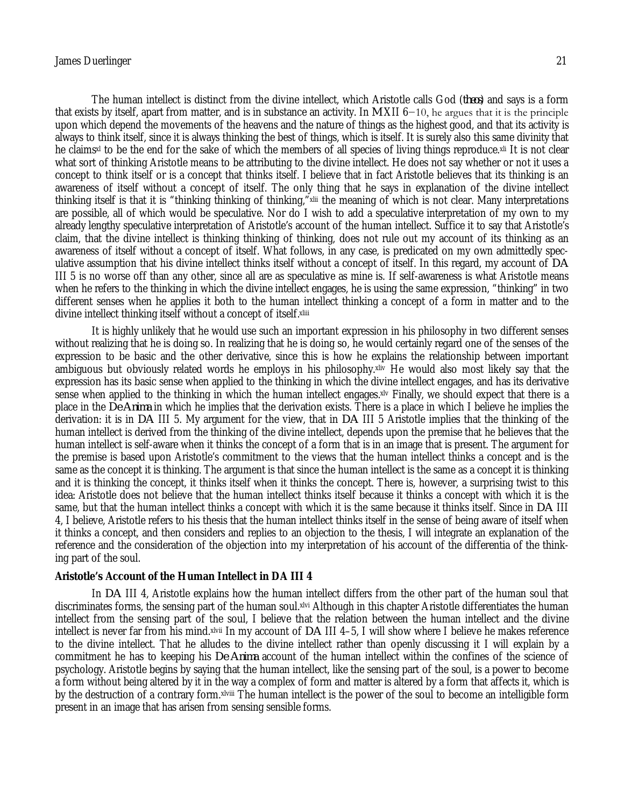The human intellect is distinct from the divine intellect, which Aristotle calls God (*theos*) and says is a form that exists by itself, apart from matter, and is in substance an activity. In *M* XII 6−10, he argues that it is the principle upon which depend the movements of the heavens and the nature of things as the highest good, and that its activity is always to think itself, since it is always thinking the best of things, which is itself. It is surely also this same divinity that he claims<sup>xl</sup> to be the end for the sake of which the members of all species of living things reproduce.<sup>xli</sup> It is not clear what sort of thinking Aristotle means to be attributing to the divine intellect. He does not say whether or not it uses a concept to think itself or is a concept that thinks itself. I believe that in fact Aristotle believes that its thinking is an awareness of itself without a concept of itself. The only thing that he says in explanation of the divine intellect thinking itself is that it is "thinking thinking of thinking,"xlii the meaning of which is not clear. Many interpretations are possible, all of which would be speculative. Nor do I wish to add a speculative interpretation of my own to my already lengthy speculative interpretation of Aristotle's account of the human intellect. Suffice it to say that Aristotle's claim, that the divine intellect is thinking thinking of thinking, does not rule out my account of its thinking as an awareness of itself without a concept of itself. What follows, in any case, is predicated on my own admittedly speculative assumption that his divine intellect thinks itself without a concept of itself. In this regard, my account of *DA* III 5 is no worse off than any other, since all are as speculative as mine is. If self-awareness is what Aristotle means when he refers to the thinking in which the divine intellect engages, he is using the same expression, "thinking" in two different senses when he applies it both to the human intellect thinking a concept of a form in matter and to the divine intellect thinking itself without a concept of itself.xliii

It is highly unlikely that he would use such an important expression in his philosophy in two different senses without realizing that he is doing so. In realizing that he is doing so, he would certainly regard one of the senses of the expression to be basic and the other derivative, since this is how he explains the relationship between important ambiguous but obviously related words he employs in his philosophy.xliv He would also most likely say that the expression has its basic sense when applied to the thinking in which the divine intellect engages, and has its derivative sense when applied to the thinking in which the human intellect engages.<sup>xlv</sup> Finally, we should expect that there is a place in the *De Anima* in which he implies that the derivation exists. There is a place in which I believe he implies the derivation: it is in *DA* III 5. My argument for the view, that in *DA* III 5 Aristotle implies that the thinking of the human intellect is derived from the thinking of the divine intellect, depends upon the premise that he believes that the human intellect is self-aware when it thinks the concept of a form that is in an image that is present. The argument for the premise is based upon Aristotle's commitment to the views that the human intellect thinks a concept and is the same as the concept it is thinking. The argument is that since the human intellect is the same as a concept it is thinking and it is thinking the concept, it thinks itself when it thinks the concept. There is, however, a surprising twist to this idea: Aristotle does not believe that the human intellect thinks itself because it thinks a concept with which it is the same, but that the human intellect thinks a concept with which it is the same because it thinks itself. Since in *DA* III 4, I believe, Aristotle refers to his thesis that the human intellect thinks itself in the sense of being aware of itself when it thinks a concept, and then considers and replies to an objection to the thesis, I will integrate an explanation of the reference and the consideration of the objection into my interpretation of his account of the differentia of the thinking part of the soul.

#### **Aristotle's Account of the Human Intellect in DA III 4**

In *DA* III 4, Aristotle explains how the human intellect differs from the other part of the human soul that discriminates forms, the sensing part of the human soul.xlvi Although in this chapter Aristotle differentiates the human intellect from the sensing part of the soul, I believe that the relation between the human intellect and the divine intellect is never far from his mind.xlvii In my account of *DA* III 4–5, I will show where I believe he makes reference to the divine intellect. That he alludes to the divine intellect rather than openly discussing it I will explain by a commitment he has to keeping his *De Anima* account of the human intellect within the confines of the science of psychology. Aristotle begins by saying that the human intellect, like the sensing part of the soul, is a power to become a form without being altered by it in the way a complex of form and matter is altered by a form that affects it, which is by the destruction of a contrary form.xlviii The human intellect is the power of the soul to become an intelligible form present in an image that has arisen from sensing sensible forms.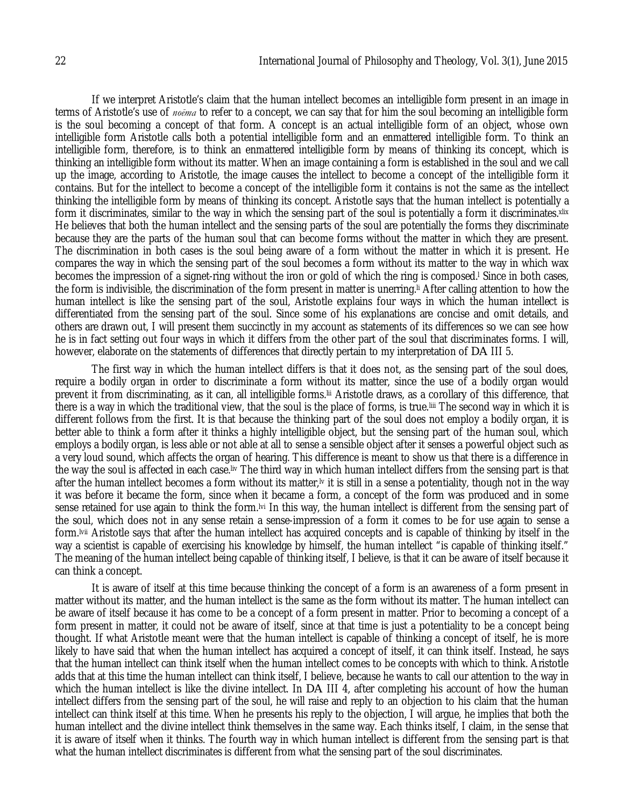If we interpret Aristotle's claim that the human intellect becomes an intelligible form present in an image in terms of Aristotle's use of *noēma* to refer to a concept, we can say that for him the soul becoming an intelligible form is the soul becoming a concept of that form. A concept is an actual intelligible form of an object, whose own intelligible form Aristotle calls both a potential intelligible form and an enmattered intelligible form. To think an intelligible form, therefore, is to think an enmattered intelligible form by means of thinking its concept, which is thinking an intelligible form without its matter. When an image containing a form is established in the soul and we call up the image, according to Aristotle, the image causes the intellect to become a concept of the intelligible form it contains. But for the intellect to become a concept of the intelligible form it contains is not the same as the intellect thinking the intelligible form by means of thinking its concept. Aristotle says that the human intellect is potentially a form it discriminates, similar to the way in which the sensing part of the soul is potentially a form it discriminates.xlix He believes that both the human intellect and the sensing parts of the soul are potentially the forms they discriminate because they are the parts of the human soul that can become forms without the matter in which they are present. The discrimination in both cases is the soul being aware of a form without the matter in which it is present. He compares the way in which the sensing part of the soul becomes a form without its matter to the way in which wax becomes the impression of a signet-ring without the iron or gold of which the ring is composed.<sup>I</sup> Since in both cases, the form is indivisible, the discrimination of the form present in matter is unerring.li After calling attention to how the human intellect is like the sensing part of the soul, Aristotle explains four ways in which the human intellect is differentiated from the sensing part of the soul. Since some of his explanations are concise and omit details, and others are drawn out, I will present them succinctly in my account as statements of its differences so we can see how he is in fact setting out four ways in which it differs from the other part of the soul that discriminates forms. I will, however, elaborate on the statements of differences that directly pertain to my interpretation of *DA* III 5.

The first way in which the human intellect differs is that it does not, as the sensing part of the soul does, require a bodily organ in order to discriminate a form without its matter, since the use of a bodily organ would prevent it from discriminating, as it can, all intelligible forms.lii Aristotle draws, as a corollary of this difference, that there is a way in which the traditional view, that the soul is the place of forms, is true.liii The second way in which it is different follows from the first. It is that because the thinking part of the soul does not employ a bodily organ, it is better able to think a form after it thinks a highly intelligible object, but the sensing part of the human soul, which employs a bodily organ, is less able or not able at all to sense a sensible object after it senses a powerful object such as a very loud sound, which affects the organ of hearing. This difference is meant to show us that there is a difference in the way the soul is affected in each case.liv The third way in which human intellect differs from the sensing part is that after the human intellect becomes a form without its matter,<sup>1</sup> it is still in a sense a potentiality, though not in the way it was before it became the form, since when it became a form, a concept of the form was produced and in some sense retained for use again to think the form.<sup>[vi</sup> In this way, the human intellect is different from the sensing part of the soul, which does not in any sense retain a sense-impression of a form it comes to be for use again to sense a form.lvii Aristotle says that after the human intellect has acquired concepts and is capable of thinking by itself in the way a scientist is capable of exercising his knowledge by himself, the human intellect "is capable of thinking itself." The meaning of the human intellect being capable of thinking itself, I believe, is that it can be aware of itself because it can think a concept.

It is aware of itself at this time because thinking the concept of a form is an awareness of a form present in matter without its matter, and the human intellect is the same as the form without its matter. The human intellect can be aware of itself because it has come to be a concept of a form present in matter. Prior to becoming a concept of a form present in matter, it could not be aware of itself, since at that time is just a potentiality to be a concept being thought. If what Aristotle meant were that the human intellect is capable of thinking a concept of itself, he is more likely to have said that when the human intellect has acquired a concept of itself, it can think itself. Instead, he says that the human intellect can think itself when the human intellect comes to be concepts with which to think. Aristotle adds that at this time the human intellect can think itself, I believe, because he wants to call our attention to the way in which the human intellect is like the divine intellect. In *DA* III 4, after completing his account of how the human intellect differs from the sensing part of the soul, he will raise and reply to an objection to his claim that the human intellect can think itself at this time. When he presents his reply to the objection, I will argue, he implies that both the human intellect and the divine intellect think themselves in the same way. Each thinks itself, I claim, in the sense that it is aware of itself when it thinks. The fourth way in which human intellect is different from the sensing part is that what the human intellect discriminates is different from what the sensing part of the soul discriminates.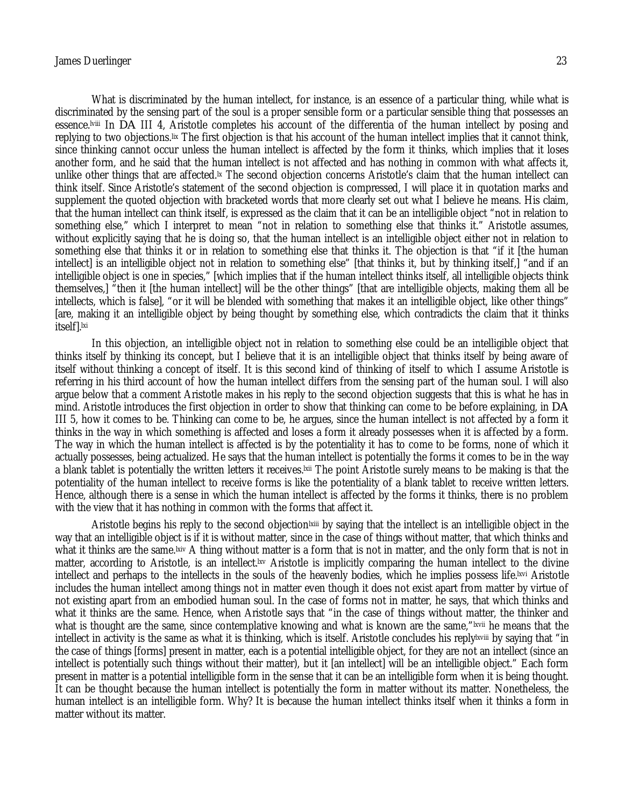#### James Duerlinger 23

What is discriminated by the human intellect, for instance, is an essence of a particular thing, while what is discriminated by the sensing part of the soul is a proper sensible form or a particular sensible thing that possesses an essence.lviii In *DA* III 4, Aristotle completes his account of the differentia of the human intellect by posing and replying to two objections.lix The first objection is that his account of the human intellect implies that it cannot think, since thinking cannot occur unless the human intellect is affected by the form it thinks, which implies that it loses another form, and he said that the human intellect is not affected and has nothing in common with what affects it, unlike other things that are affected.<sup>[x]</sup> The second objection concerns Aristotle's claim that the human intellect can

think itself. Since Aristotle's statement of the second objection is compressed, I will place it in quotation marks and supplement the quoted objection with bracketed words that more clearly set out what I believe he means. His claim, that the human intellect can think itself, is expressed as the claim that it can be an intelligible object "not in relation to something else," which I interpret to mean "not in relation to something else that thinks it." Aristotle assumes, without explicitly saying that he is doing so, that the human intellect is an intelligible object either not in relation to something else that thinks it or in relation to something else that thinks it. The objection is that "if it [the human intellect] is an intelligible object not in relation to something else" [that thinks it, but by thinking itself,] "and if an intelligible object is one in species," [which implies that if the human intellect thinks itself, all intelligible objects think themselves,] "then it [the human intellect] will be the other things" [that are intelligible objects, making them all be intellects, which is false], "or it will be blended with something that makes it an intelligible object, like other things" [are, making it an intelligible object by being thought by something else, which contradicts the claim that it thinks itself].<sup>Ixi</sup>

In this objection, an intelligible object not in relation to something else could be an intelligible object that thinks itself by thinking its concept, but I believe that it is an intelligible object that thinks itself by being aware of itself without thinking a concept of itself. It is this second kind of thinking of itself to which I assume Aristotle is referring in his third account of how the human intellect differs from the sensing part of the human soul. I will also argue below that a comment Aristotle makes in his reply to the second objection suggests that this is what he has in mind. Aristotle introduces the first objection in order to show that thinking can come to be before explaining, in *DA*  III 5, how it comes to be. Thinking can come to be, he argues, since the human intellect is not affected by a form it thinks in the way in which something is affected and loses a form it already possesses when it is affected by a form. The way in which the human intellect is affected is by the potentiality it has to come to be forms, none of which it actually possesses, being actualized. He says that the human intellect is potentially the forms it comes to be in the way a blank tablet is potentially the written letters it receives.<sup>[xii</sup> The point Aristotle surely means to be making is that the potentiality of the human intellect to receive forms is like the potentiality of a blank tablet to receive written letters. Hence, although there is a sense in which the human intellect is affected by the forms it thinks, there is no problem with the view that it has nothing in common with the forms that affect it.

Aristotle begins his reply to the second objection ixiii by saying that the intellect is an intelligible object in the way that an intelligible object is if it is without matter, since in the case of things without matter, that which thinks and what it thinks are the same.<sup>[xiv</sup> A thing without matter is a form that is not in matter, and the only form that is not in matter, according to Aristotle, is an intellect.<sup>[xv</sup> Aristotle is implicitly comparing the human intellect to the divine intellect and perhaps to the intellects in the souls of the heavenly bodies, which he implies possess life.<sup>[xvi</sup> Aristotle] includes the human intellect among things not in matter even though it does not exist apart from matter by virtue of not existing apart from an embodied human soul. In the case of forms not in matter, he says, that which thinks and what it thinks are the same. Hence, when Aristotle says that "in the case of things without matter, the thinker and what is thought are the same, since contemplative knowing and what is known are the same,"<sup>Ixvii</sup> he means that the intellect in activity is the same as what it is thinking, which is itself. Aristotle concludes his replylxviii by saying that "in the case of things [forms] present in matter, each is a potential intelligible object, for they are not an intellect (since an intellect is potentially such things without their matter), but it [an intellect] will be an intelligible object." Each form present in matter is a potential intelligible form in the sense that it can be an intelligible form when it is being thought. It can be thought because the human intellect is potentially the form in matter without its matter. Nonetheless, the human intellect is an intelligible form. Why? It is because the human intellect thinks itself when it thinks a form in matter without its matter.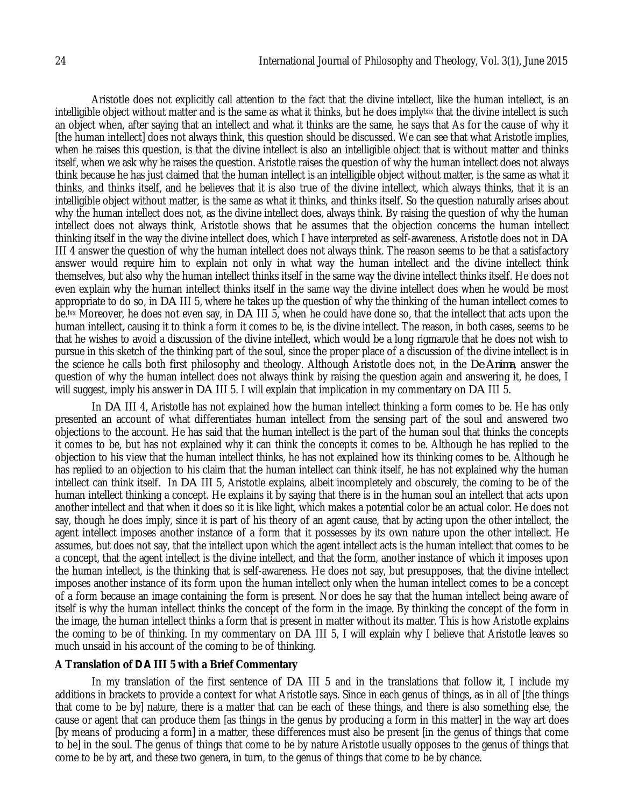Aristotle does not explicitly call attention to the fact that the divine intellect, like the human intellect, is an intelligible object without matter and is the same as what it thinks, but he does imply ix that the divine intellect is such an object when, after saying that an intellect and what it thinks are the same, he says that As for the cause of why it [the human intellect] does not always think, this question should be discussed. We can see that what Aristotle implies, when he raises this question, is that the divine intellect is also an intelligible object that is without matter and thinks itself, when we ask why he raises the question. Aristotle raises the question of why the human intellect does not always think because he has just claimed that the human intellect is an intelligible object without matter, is the same as what it thinks, and thinks itself, and he believes that it is also true of the divine intellect, which always thinks, that it is an intelligible object without matter, is the same as what it thinks, and thinks itself. So the question naturally arises about why the human intellect does not, as the divine intellect does, always think. By raising the question of why the human intellect does not always think, Aristotle shows that he assumes that the objection concerns the human intellect thinking itself in the way the divine intellect does, which I have interpreted as self-awareness. Aristotle does not in *DA* III 4 answer the question of why the human intellect does not always think. The reason seems to be that a satisfactory answer would require him to explain not only in what way the human intellect and the divine intellect think themselves, but also why the human intellect thinks itself in the same way the divine intellect thinks itself. He does not even explain why the human intellect thinks itself in the same way the divine intellect does when he would be most appropriate to do so, in *DA* III 5, where he takes up the question of why the thinking of the human intellect comes to be.lxx Moreover, he does not even say, in *DA* III 5, when he could have done so, that the intellect that acts upon the human intellect, causing it to think a form it comes to be, is the divine intellect. The reason, in both cases, seems to be that he wishes to avoid a discussion of the divine intellect, which would be a long rigmarole that he does not wish to pursue in this sketch of the thinking part of the soul, since the proper place of a discussion of the divine intellect is in the science he calls both first philosophy and theology. Although Aristotle does not, in the *De Anima*, answer the question of why the human intellect does not always think by raising the question again and answering it, he does, I will suggest, imply his answer in *DA* III 5. I will explain that implication in my commentary on *DA* III 5.

In *DA* III 4, Aristotle has not explained how the human intellect thinking a form comes to be. He has only presented an account of what differentiates human intellect from the sensing part of the soul and answered two objections to the account. He has said that the human intellect is the part of the human soul that thinks the concepts it comes to be, but has not explained why it can think the concepts it comes to be. Although he has replied to the objection to his view that the human intellect thinks, he has not explained how its thinking comes to be. Although he has replied to an objection to his claim that the human intellect can think itself, he has not explained why the human intellect can think itself. In *DA* III 5, Aristotle explains, albeit incompletely and obscurely, the coming to be of the human intellect thinking a concept. He explains it by saying that there is in the human soul an intellect that acts upon another intellect and that when it does so it is like light, which makes a potential color be an actual color. He does not say, though he does imply, since it is part of his theory of an agent cause, that by acting upon the other intellect, the agent intellect imposes another instance of a form that it possesses by its own nature upon the other intellect. He assumes, but does not say, that the intellect upon which the agent intellect acts is the human intellect that comes to be a concept, that the agent intellect is the divine intellect, and that the form, another instance of which it imposes upon the human intellect, is the thinking that is self-awareness. He does not say, but presupposes, that the divine intellect imposes another instance of its form upon the human intellect only when the human intellect comes to be a concept of a form because an image containing the form is present. Nor does he say that the human intellect being aware of itself is why the human intellect thinks the concept of the form in the image. By thinking the concept of the form in the image, the human intellect thinks a form that is present in matter without its matter. This is how Aristotle explains the coming to be of thinking. In my commentary on *DA* III 5, I will explain why I believe that Aristotle leaves so much unsaid in his account of the coming to be of thinking.

#### **A Translation of** *DA* **III 5 with a Brief Commentary**

In my translation of the first sentence of *DA* III 5 and in the translations that follow it, I include my additions in brackets to provide a context for what Aristotle says. Since in each genus of things, as in all of [the things that come to be by] nature, there is a matter that can be each of these things, and there is also something else, the cause or agent that can produce them [as things in the genus by producing a form in this matter] in the way art does [by means of producing a form] in a matter, these differences must also be present [in the genus of things that come to be] in the soul. The genus of things that come to be by nature Aristotle usually opposes to the genus of things that come to be by art, and these two genera, in turn, to the genus of things that come to be by chance.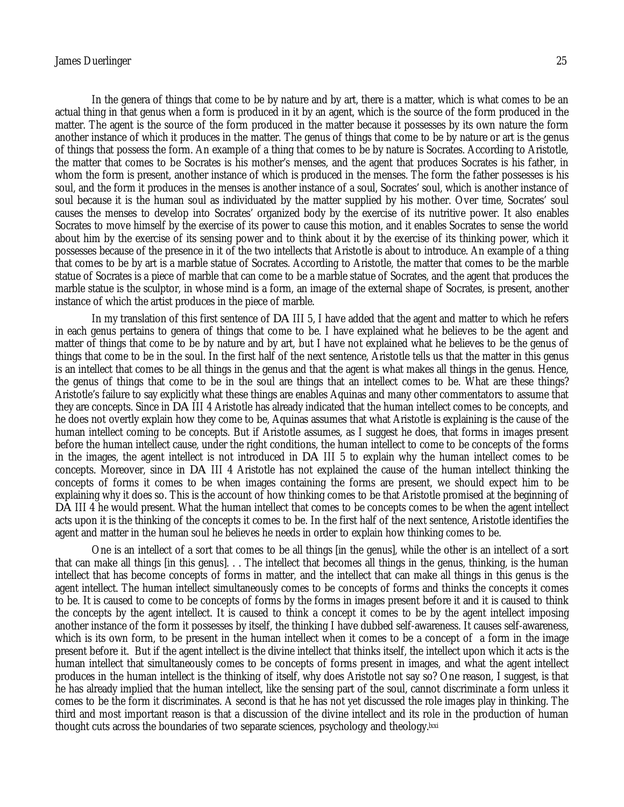#### James Duerlinger 25

In the genera of things that come to be by nature and by art, there is a matter, which is what comes to be an actual thing in that genus when a form is produced in it by an agent, which is the source of the form produced in the matter. The agent is the source of the form produced in the matter because it possesses by its own nature the form another instance of which it produces in the matter. The genus of things that come to be by nature or art is the genus of things that possess the form. An example of a thing that comes to be by nature is Socrates. According to Aristotle, the matter that comes to be Socrates is his mother's menses, and the agent that produces Socrates is his father, in whom the form is present, another instance of which is produced in the menses. The form the father possesses is his soul, and the form it produces in the menses is another instance of a soul, Socrates' soul, which is another instance of soul because it is the human soul as individuated by the matter supplied by his mother. Over time, Socrates' soul causes the menses to develop into Socrates' organized body by the exercise of its nutritive power. It also enables Socrates to move himself by the exercise of its power to cause this motion, and it enables Socrates to sense the world about him by the exercise of its sensing power and to think about it by the exercise of its thinking power, which it possesses because of the presence in it of the two intellects that Aristotle is about to introduce. An example of a thing that comes to be by art is a marble statue of Socrates. According to Aristotle, the matter that comes to be the marble statue of Socrates is a piece of marble that can come to be a marble statue of Socrates, and the agent that produces the marble statue is the sculptor, in whose mind is a form, an image of the external shape of Socrates, is present, another instance of which the artist produces in the piece of marble.

In my translation of this first sentence of *DA* III 5, I have added that the agent and matter to which he refers in each genus pertains to genera of things that come to be. I have explained what he believes to be the agent and matter of things that come to be by nature and by art, but I have not explained what he believes to be the genus of things that come to be in the soul. In the first half of the next sentence, Aristotle tells us that the matter in this genus is an intellect that comes to be all things in the genus and that the agent is what makes all things in the genus. Hence, the genus of things that come to be in the soul are things that an intellect comes to be. What are these things? Aristotle's failure to say explicitly what these things are enables Aquinas and many other commentators to assume that they are concepts. Since in *DA* III 4 Aristotle has already indicated that the human intellect comes to be concepts, and he does not overtly explain how they come to be, Aquinas assumes that what Aristotle is explaining is the cause of the human intellect coming to be concepts. But if Aristotle assumes, as I suggest he does, that forms in images present before the human intellect cause, under the right conditions, the human intellect to come to be concepts of the forms in the images, the agent intellect is not introduced in *DA* III 5 to explain why the human intellect comes to be concepts. Moreover, since in *DA* III 4 Aristotle has not explained the cause of the human intellect thinking the concepts of forms it comes to be when images containing the forms are present, we should expect him to be explaining why it does so. This is the account of how thinking comes to be that Aristotle promised at the beginning of *DA* III 4 he would present. What the human intellect that comes to be concepts comes to be when the agent intellect acts upon it is the thinking of the concepts it comes to be. In the first half of the next sentence, Aristotle identifies the agent and matter in the human soul he believes he needs in order to explain how thinking comes to be.

One is an intellect of a sort that comes to be all things [in the genus], while the other is an intellect of a sort that can make all things [in this genus]. . . The intellect that becomes all things in the genus, thinking, is the human intellect that has become concepts of forms in matter, and the intellect that can make all things in this genus is the agent intellect. The human intellect simultaneously comes to be concepts of forms and thinks the concepts it comes to be. It is caused to come to be concepts of forms by the forms in images present before it and it is caused to think the concepts by the agent intellect. It is caused to think a concept it comes to be by the agent intellect imposing another instance of the form it possesses by itself, the thinking I have dubbed self-awareness. It causes self-awareness, which is its own form, to be present in the human intellect when it comes to be a concept of a form in the image present before it. But if the agent intellect is the divine intellect that thinks itself, the intellect upon which it acts is the human intellect that simultaneously comes to be concepts of forms present in images, and what the agent intellect produces in the human intellect is the thinking of itself, why does Aristotle not say so? One reason, I suggest, is that he has already implied that the human intellect, like the sensing part of the soul, cannot discriminate a form unless it comes to be the form it discriminates. A second is that he has not yet discussed the role images play in thinking. The third and most important reason is that a discussion of the divine intellect and its role in the production of human thought cuts across the boundaries of two separate sciences, psychology and theology.lxxi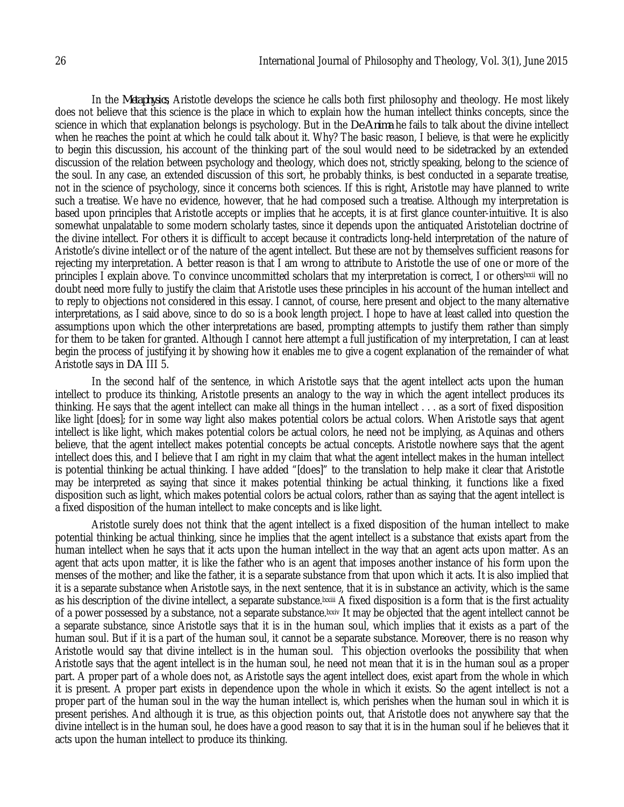In the *Metaphysics*, Aristotle develops the science he calls both first philosophy and theology. He most likely does not believe that this science is the place in which to explain how the human intellect thinks concepts, since the science in which that explanation belongs is psychology. But in the *De Anima* he fails to talk about the divine intellect when he reaches the point at which he could talk about it. Why? The basic reason, I believe, is that were he explicitly to begin this discussion, his account of the thinking part of the soul would need to be sidetracked by an extended discussion of the relation between psychology and theology, which does not, strictly speaking, belong to the science of the soul. In any case, an extended discussion of this sort, he probably thinks, is best conducted in a separate treatise, not in the science of psychology, since it concerns both sciences. If this is right, Aristotle may have planned to write such a treatise. We have no evidence, however, that he had composed such a treatise. Although my interpretation is based upon principles that Aristotle accepts or implies that he accepts, it is at first glance counter-intuitive. It is also somewhat unpalatable to some modern scholarly tastes, since it depends upon the antiquated Aristotelian doctrine of the divine intellect. For others it is difficult to accept because it contradicts long-held interpretation of the nature of Aristotle's divine intellect or of the nature of the agent intellect. But these are not by themselves sufficient reasons for rejecting my interpretation. A better reason is that I am wrong to attribute to Aristotle the use of one or more of the principles I explain above. To convince uncommitted scholars that my interpretation is correct, I or others<sup>1xxii</sup> will no doubt need more fully to justify the claim that Aristotle uses these principles in his account of the human intellect and to reply to objections not considered in this essay. I cannot, of course, here present and object to the many alternative interpretations, as I said above, since to do so is a book length project. I hope to have at least called into question the assumptions upon which the other interpretations are based, prompting attempts to justify them rather than simply for them to be taken for granted. Although I cannot here attempt a full justification of my interpretation, I can at least begin the process of justifying it by showing how it enables me to give a cogent explanation of the remainder of what Aristotle says in *DA* III 5.

In the second half of the sentence, in which Aristotle says that the agent intellect acts upon the human intellect to produce its thinking, Aristotle presents an analogy to the way in which the agent intellect produces its thinking. He says that the agent intellect can make all things in the human intellect . . . as a sort of fixed disposition like light [does]; for in some way light also makes potential colors be actual colors. When Aristotle says that agent intellect is like light, which makes potential colors be actual colors, he need not be implying, as Aquinas and others believe, that the agent intellect makes potential concepts be actual concepts. Aristotle nowhere says that the agent intellect does this, and I believe that I am right in my claim that what the agent intellect makes in the human intellect is potential thinking be actual thinking. I have added "[does]" to the translation to help make it clear that Aristotle may be interpreted as saying that since it makes potential thinking be actual thinking, it functions like a fixed disposition such as light, which makes potential colors be actual colors, rather than as saying that the agent intellect is a fixed disposition of the human intellect to make concepts and is like light.

Aristotle surely does not think that the agent intellect is a fixed disposition of the human intellect to make potential thinking be actual thinking, since he implies that the agent intellect is a substance that exists apart from the human intellect when he says that it acts upon the human intellect in the way that an agent acts upon matter. As an agent that acts upon matter, it is like the father who is an agent that imposes another instance of his form upon the menses of the mother; and like the father, it is a separate substance from that upon which it acts. It is also implied that it is a separate substance when Aristotle says, in the next sentence, that it is in substance an activity, which is the same as his description of the divine intellect, a separate substance.<sup>[xxiii</sup> A fixed disposition is a form that is the first actuality of a power possessed by a substance, not a separate substance.<sup>[xxiv</sup>] It may be objected that the agent intellect cannot be a separate substance, since Aristotle says that it is in the human soul, which implies that it exists as a part of the human soul. But if it is a part of the human soul, it cannot be a separate substance. Moreover, there is no reason why Aristotle would say that divine intellect is in the human soul. This objection overlooks the possibility that when Aristotle says that the agent intellect is in the human soul, he need not mean that it is in the human soul as a proper part. A proper part of a whole does not, as Aristotle says the agent intellect does, exist apart from the whole in which it is present. A proper part exists in dependence upon the whole in which it exists. So the agent intellect is not a proper part of the human soul in the way the human intellect is, which perishes when the human soul in which it is present perishes. And although it is true, as this objection points out, that Aristotle does not anywhere say that the divine intellect is in the human soul, he does have a good reason to say that it is in the human soul if he believes that it acts upon the human intellect to produce its thinking.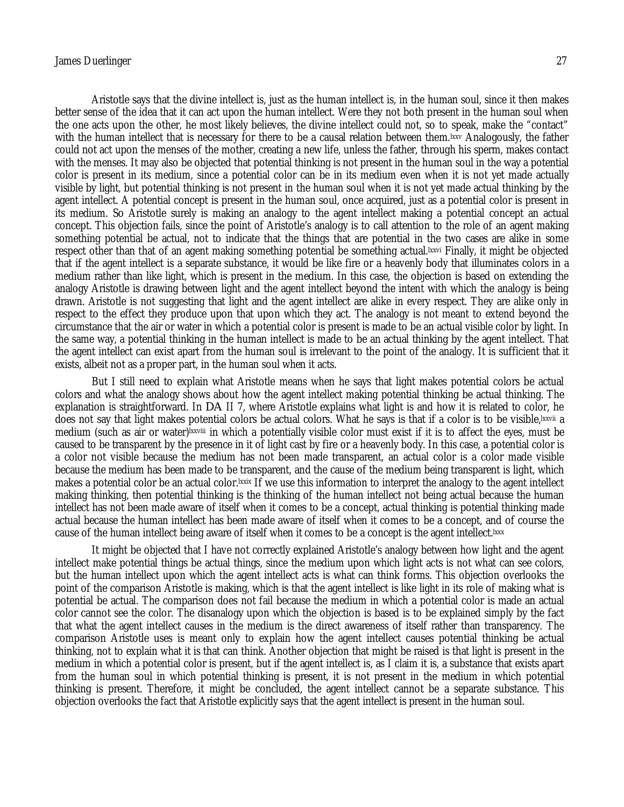Aristotle says that the divine intellect is, just as the human intellect is, in the human soul, since it then makes better sense of the idea that it can act upon the human intellect. Were they not both present in the human soul when the one acts upon the other, he most likely believes, the divine intellect could not, so to speak, make the "contact" with the human intellect that is necessary for there to be a causal relation between them. Ixxv Analogously, the father could not act upon the menses of the mother, creating a new life, unless the father, through his sperm, makes contact with the menses. It may also be objected that potential thinking is not present in the human soul in the way a potential color is present in its medium, since a potential color can be in its medium even when it is not yet made actually visible by light, but potential thinking is not present in the human soul when it is not yet made actual thinking by the agent intellect. A potential concept is present in the human soul, once acquired, just as a potential color is present in its medium. So Aristotle surely is making an analogy to the agent intellect making a potential concept an actual concept. This objection fails, since the point of Aristotle's analogy is to call attention to the role of an agent making something potential be actual, not to indicate that the things that are potential in the two cases are alike in some respect other than that of an agent making something potential be something actual.lxxvi Finally, it might be objected that if the agent intellect is a separate substance, it would be like fire or a heavenly body that illuminates colors in a medium rather than like light, which is present in the medium. In this case, the objection is based on extending the analogy Aristotle is drawing between light and the agent intellect beyond the intent with which the analogy is being drawn. Aristotle is not suggesting that light and the agent intellect are alike in every respect. They are alike only in respect to the effect they produce upon that upon which they act. The analogy is not meant to extend beyond the circumstance that the air or water in which a potential color is present is made to be an actual visible color by light. In the same way, a potential thinking in the human intellect is made to be an actual thinking by the agent intellect. That the agent intellect can exist apart from the human soul is irrelevant to the point of the analogy. It is sufficient that it exists, albeit not as a proper part, in the human soul when it acts.

But I still need to explain what Aristotle means when he says that light makes potential colors be actual colors and what the analogy shows about how the agent intellect making potential thinking be actual thinking. The explanation is straightforward. In *DA* II 7, where Aristotle explains what light is and how it is related to color, he does not say that light makes potential colors be actual colors. What he says is that if a color is to be visible, exavii a medium (such as air or water)lxxviii in which a potentially visible color must exist if it is to affect the eyes, must be caused to be transparent by the presence in it of light cast by fire or a heavenly body. In this case, a potential color is a color not visible because the medium has not been made transparent, an actual color is a color made visible because the medium has been made to be transparent, and the cause of the medium being transparent is light, which makes a potential color be an actual color.<sup>Ixxix</sup> If we use this information to interpret the analogy to the agent intellect making thinking, then potential thinking is the thinking of the human intellect not being actual because the human intellect has not been made aware of itself when it comes to be a concept, actual thinking is potential thinking made actual because the human intellect has been made aware of itself when it comes to be a concept, and of course the cause of the human intellect being aware of itself when it comes to be a concept is the agent intellect.<sup>[xxx</sup>]

It might be objected that I have not correctly explained Aristotle's analogy between how light and the agent intellect make potential things be actual things, since the medium upon which light acts is not what can see colors, but the human intellect upon which the agent intellect acts is what can think forms. This objection overlooks the point of the comparison Aristotle is making, which is that the agent intellect is like light in its role of making what is potential be actual. The comparison does not fail because the medium in which a potential color is made an actual color cannot see the color. The disanalogy upon which the objection is based is to be explained simply by the fact that what the agent intellect causes in the medium is the direct awareness of itself rather than transparency. The comparison Aristotle uses is meant only to explain how the agent intellect causes potential thinking be actual thinking, not to explain what it is that can think. Another objection that might be raised is that light is present in the medium in which a potential color is present, but if the agent intellect is, as I claim it is, a substance that exists apart from the human soul in which potential thinking is present, it is not present in the medium in which potential thinking is present. Therefore, it might be concluded, the agent intellect cannot be a separate substance. This objection overlooks the fact that Aristotle explicitly says that the agent intellect is present in the human soul.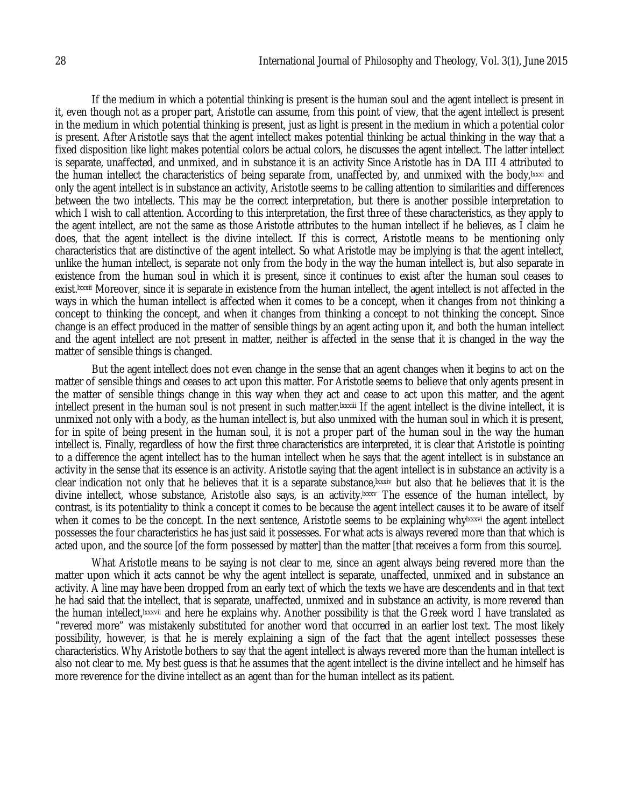If the medium in which a potential thinking is present is the human soul and the agent intellect is present in it, even though not as a proper part, Aristotle can assume, from this point of view, that the agent intellect is present in the medium in which potential thinking is present, just as light is present in the medium in which a potential color is present. After Aristotle says that the agent intellect makes potential thinking be actual thinking in the way that a fixed disposition like light makes potential colors be actual colors, he discusses the agent intellect. The latter intellect is separate, unaffected, and unmixed, and in substance it is an activity Since Aristotle has in *DA* III 4 attributed to the human intellect the characteristics of being separate from, unaffected by, and unmixed with the body,lxxxi and only the agent intellect is in substance an activity, Aristotle seems to be calling attention to similarities and differences between the two intellects. This may be the correct interpretation, but there is another possible interpretation to which I wish to call attention. According to this interpretation, the first three of these characteristics, as they apply to the agent intellect, are not the same as those Aristotle attributes to the human intellect if he believes, as I claim he does, that the agent intellect is the divine intellect. If this is correct, Aristotle means to be mentioning only characteristics that are distinctive of the agent intellect. So what Aristotle may be implying is that the agent intellect, unlike the human intellect, is separate not only from the body in the way the human intellect is, but also separate in existence from the human soul in which it is present, since it continues to exist after the human soul ceases to exist.lxxxii Moreover, since it is separate in existence from the human intellect, the agent intellect is not affected in the ways in which the human intellect is affected when it comes to be a concept, when it changes from not thinking a concept to thinking the concept, and when it changes from thinking a concept to not thinking the concept. Since change is an effect produced in the matter of sensible things by an agent acting upon it, and both the human intellect and the agent intellect are not present in matter, neither is affected in the sense that it is changed in the way the matter of sensible things is changed.

But the agent intellect does not even change in the sense that an agent changes when it begins to act on the matter of sensible things and ceases to act upon this matter. For Aristotle seems to believe that only agents present in the matter of sensible things change in this way when they act and cease to act upon this matter, and the agent intellect present in the human soul is not present in such matter.lxxxiii If the agent intellect is the divine intellect, it is unmixed not only with a body, as the human intellect is, but also unmixed with the human soul in which it is present, for in spite of being present in the human soul, it is not a proper part of the human soul in the way the human intellect is. Finally, regardless of how the first three characteristics are interpreted, it is clear that Aristotle is pointing to a difference the agent intellect has to the human intellect when he says that the agent intellect is in substance an activity in the sense that its essence is an activity. Aristotle saying that the agent intellect is in substance an activity is a clear indication not only that he believes that it is a separate substance,lxxxiv but also that he believes that it is the divine intellect, whose substance, Aristotle also says, is an activity.<sup>Ixxxv</sup> The essence of the human intellect, by contrast, is its potentiality to think a concept it comes to be because the agent intellect causes it to be aware of itself when it comes to be the concept. In the next sentence, Aristotle seems to be explaining whylxxxvi the agent intellect possesses the four characteristics he has just said it possesses. For what acts is always revered more than that which is acted upon, and the source [of the form possessed by matter] than the matter [that receives a form from this source].

What Aristotle means to be saying is not clear to me, since an agent always being revered more than the matter upon which it acts cannot be why the agent intellect is separate, unaffected, unmixed and in substance an activity. A line may have been dropped from an early text of which the texts we have are descendents and in that text he had said that the intellect, that is separate, unaffected, unmixed and in substance an activity, is more revered than the human intellect,lxxxvii and here he explains why. Another possibility is that the Greek word I have translated as "revered more" was mistakenly substituted for another word that occurred in an earlier lost text. The most likely possibility, however, is that he is merely explaining a sign of the fact that the agent intellect possesses these characteristics. Why Aristotle bothers to say that the agent intellect is always revered more than the human intellect is also not clear to me. My best guess is that he assumes that the agent intellect is the divine intellect and he himself has more reverence for the divine intellect as an agent than for the human intellect as its patient.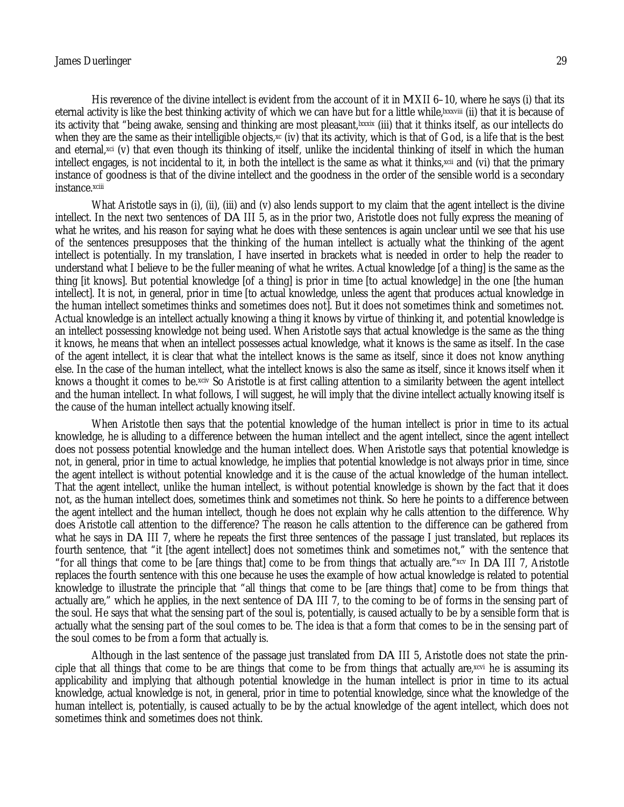His reverence of the divine intellect is evident from the account of it in *M* XII 6–10, where he says (i) that its eternal activity is like the best thinking activity of which we can have but for a little while, [xxxviii (ii) that it is because of its activity that "being awake, sensing and thinking are most pleasant,<sup>[xxxix</sup> (iii) that it thinks itself, as our intellects do when they are the same as their intelligible objects,<sup> $x$ </sup> (iv) that its activity, which is that of God, is a life that is the best and eternal,xci (v) that even though its thinking of itself, unlike the incidental thinking of itself in which the human intellect engages, is not incidental to it, in both the intellect is the same as what it thinks,<sup>xcii</sup> and (vi) that the primary instance of goodness is that of the divine intellect and the goodness in the order of the sensible world is a secondary instance.xciii

What Aristotle says in (i), (ii), (iii) and (v) also lends support to my claim that the agent intellect is the divine intellect. In the next two sentences of *DA* III 5, as in the prior two, Aristotle does not fully express the meaning of what he writes, and his reason for saying what he does with these sentences is again unclear until we see that his use of the sentences presupposes that the thinking of the human intellect is actually what the thinking of the agent intellect is potentially. In my translation, I have inserted in brackets what is needed in order to help the reader to understand what I believe to be the fuller meaning of what he writes. Actual knowledge [of a thing] is the same as the thing [it knows]. But potential knowledge [of a thing] is prior in time [to actual knowledge] in the one [the human intellect]. It is not, in general, prior in time [to actual knowledge, unless the agent that produces actual knowledge in the human intellect sometimes thinks and sometimes does not]. But it does not sometimes think and sometimes not. Actual knowledge is an intellect actually knowing a thing it knows by virtue of thinking it, and potential knowledge is an intellect possessing knowledge not being used. When Aristotle says that actual knowledge is the same as the thing it knows, he means that when an intellect possesses actual knowledge, what it knows is the same as itself. In the case of the agent intellect, it is clear that what the intellect knows is the same as itself, since it does not know anything else. In the case of the human intellect, what the intellect knows is also the same as itself, since it knows itself when it knows a thought it comes to be.xciv So Aristotle is at first calling attention to a similarity between the agent intellect and the human intellect. In what follows, I will suggest, he will imply that the divine intellect actually knowing itself is the cause of the human intellect actually knowing itself.

When Aristotle then says that the potential knowledge of the human intellect is prior in time to its actual knowledge, he is alluding to a difference between the human intellect and the agent intellect, since the agent intellect does not possess potential knowledge and the human intellect does. When Aristotle says that potential knowledge is not, in general, prior in time to actual knowledge, he implies that potential knowledge is not always prior in time, since the agent intellect is without potential knowledge and it is the cause of the actual knowledge of the human intellect. That the agent intellect, unlike the human intellect, is without potential knowledge is shown by the fact that it does not, as the human intellect does, sometimes think and sometimes not think. So here he points to a difference between the agent intellect and the human intellect, though he does not explain why he calls attention to the difference. Why does Aristotle call attention to the difference? The reason he calls attention to the difference can be gathered from what he says in *DA* III 7, where he repeats the first three sentences of the passage I just translated, but replaces its fourth sentence, that "it [the agent intellect] does not sometimes think and sometimes not," with the sentence that "for all things that come to be [are things that] come to be from things that actually are."xcv In *DA* III 7, Aristotle replaces the fourth sentence with this one because he uses the example of how actual knowledge is related to potential knowledge to illustrate the principle that "all things that come to be [are things that] come to be from things that actually are," which he applies, in the next sentence of *DA* III 7, to the coming to be of forms in the sensing part of the soul. He says that what the sensing part of the soul is, potentially, is caused actually to be by a sensible form that is actually what the sensing part of the soul comes to be. The idea is that a form that comes to be in the sensing part of the soul comes to be from a form that actually is.

Although in the last sentence of the passage just translated from *DA* III 5, Aristotle does not state the principle that all things that come to be are things that come to be from things that actually are, $xcvi$  he is assuming its applicability and implying that although potential knowledge in the human intellect is prior in time to its actual knowledge, actual knowledge is not, in general, prior in time to potential knowledge, since what the knowledge of the human intellect is, potentially, is caused actually to be by the actual knowledge of the agent intellect, which does not sometimes think and sometimes does not think.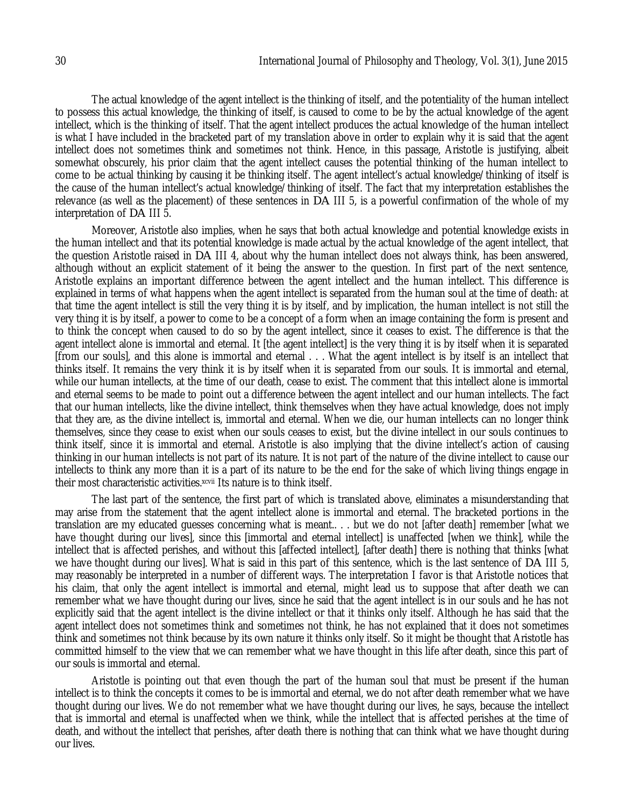The actual knowledge of the agent intellect is the thinking of itself, and the potentiality of the human intellect to possess this actual knowledge, the thinking of itself, is caused to come to be by the actual knowledge of the agent intellect, which is the thinking of itself. That the agent intellect produces the actual knowledge of the human intellect is what I have included in the bracketed part of my translation above in order to explain why it is said that the agent intellect does not sometimes think and sometimes not think. Hence, in this passage, Aristotle is justifying, albeit somewhat obscurely, his prior claim that the agent intellect causes the potential thinking of the human intellect to come to be actual thinking by causing it be thinking itself. The agent intellect's actual knowledge/thinking of itself is the cause of the human intellect's actual knowledge/thinking of itself. The fact that my interpretation establishes the relevance (as well as the placement) of these sentences in *DA* III 5, is a powerful confirmation of the whole of my interpretation of *DA* III 5.

Moreover, Aristotle also implies, when he says that both actual knowledge and potential knowledge exists in the human intellect and that its potential knowledge is made actual by the actual knowledge of the agent intellect, that the question Aristotle raised in *DA* III 4, about why the human intellect does not always think, has been answered, although without an explicit statement of it being the answer to the question. In first part of the next sentence, Aristotle explains an important difference between the agent intellect and the human intellect. This difference is explained in terms of what happens when the agent intellect is separated from the human soul at the time of death: at that time the agent intellect is still the very thing it is by itself, and by implication, the human intellect is not still the very thing it is by itself, a power to come to be a concept of a form when an image containing the form is present and to think the concept when caused to do so by the agent intellect, since it ceases to exist. The difference is that the agent intellect alone is immortal and eternal. It [the agent intellect] is the very thing it is by itself when it is separated [from our souls], and this alone is immortal and eternal . . . What the agent intellect is by itself is an intellect that thinks itself. It remains the very think it is by itself when it is separated from our souls. It is immortal and eternal, while our human intellects, at the time of our death, cease to exist. The comment that this intellect alone is immortal and eternal seems to be made to point out a difference between the agent intellect and our human intellects. The fact that our human intellects, like the divine intellect, think themselves when they have actual knowledge, does not imply that they are, as the divine intellect is, immortal and eternal. When we die, our human intellects can no longer think themselves, since they cease to exist when our souls ceases to exist, but the divine intellect in our souls continues to think itself, since it is immortal and eternal. Aristotle is also implying that the divine intellect's action of causing thinking in our human intellects is not part of its nature. It is not part of the nature of the divine intellect to cause our intellects to think any more than it is a part of its nature to be the end for the sake of which living things engage in their most characteristic activities.xcvii Its nature is to think itself.

The last part of the sentence, the first part of which is translated above, eliminates a misunderstanding that may arise from the statement that the agent intellect alone is immortal and eternal. The bracketed portions in the translation are my educated guesses concerning what is meant.. . . but we do not [after death] remember [what we have thought during our lives), since this [immortal and eternal intellect] is unaffected [when we think], while the intellect that is affected perishes, and without this [affected intellect], [after death] there is nothing that thinks [what we have thought during our lives]. What is said in this part of this sentence, which is the last sentence of *DA* III 5, may reasonably be interpreted in a number of different ways. The interpretation I favor is that Aristotle notices that his claim, that only the agent intellect is immortal and eternal, might lead us to suppose that after death we can remember what we have thought during our lives, since he said that the agent intellect is in our souls and he has not explicitly said that the agent intellect is the divine intellect or that it thinks only itself. Although he has said that the agent intellect does not sometimes think and sometimes not think, he has not explained that it does not sometimes think and sometimes not think because by its own nature it thinks only itself. So it might be thought that Aristotle has committed himself to the view that we can remember what we have thought in this life after death, since this part of our souls is immortal and eternal.

Aristotle is pointing out that even though the part of the human soul that must be present if the human intellect is to think the concepts it comes to be is immortal and eternal, we do not after death remember what we have thought during our lives. We do not remember what we have thought during our lives, he says, because the intellect that is immortal and eternal is unaffected when we think, while the intellect that is affected perishes at the time of death, and without the intellect that perishes, after death there is nothing that can think what we have thought during our lives.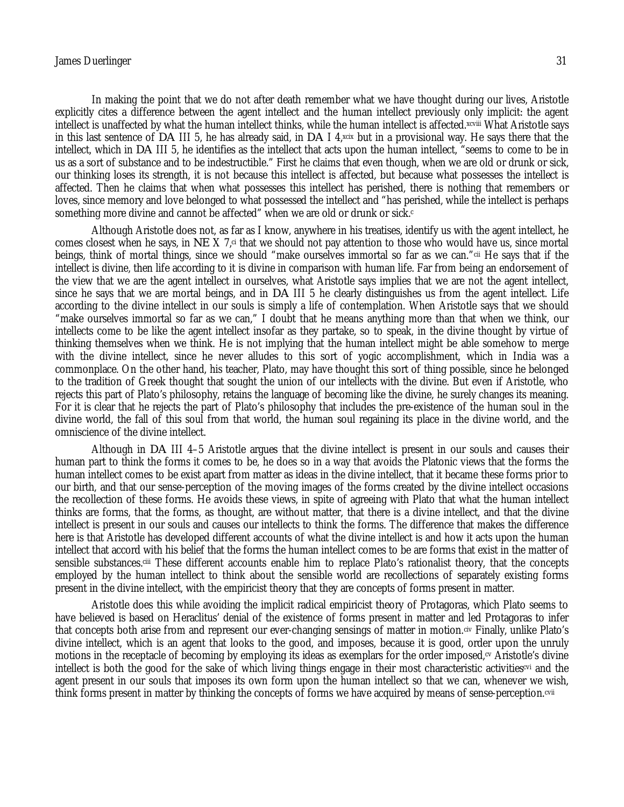In making the point that we do not after death remember what we have thought during our lives, Aristotle explicitly cites a difference between the agent intellect and the human intellect previously only implicit: the agent intellect is unaffected by what the human intellect thinks, while the human intellect is affected. Xcviii What Aristotle says in this last sentence of *DA* III 5, he has already said, in *DA* I 4,xcix but in a provisional way. He says there that the intellect, which in *DA* III 5, he identifies as the intellect that acts upon the human intellect, "seems to come to be in us as a sort of substance and to be indestructible." First he claims that even though, when we are old or drunk or sick, our thinking loses its strength, it is not because this intellect is affected, but because what possesses the intellect is affected. Then he claims that when what possesses this intellect has perished, there is nothing that remembers or loves, since memory and love belonged to what possessed the intellect and "has perished, while the intellect is perhaps something more divine and cannot be affected" when we are old or drunk or sick.<sup>c</sup>

Although Aristotle does not, as far as I know, anywhere in his treatises, identify us with the agent intellect, he comes closest when he says, in *NE* X 7<sub>,ci</sub> that we should not pay attention to those who would have us, since mortal beings, think of mortal things, since we should "make ourselves immortal so far as we can."cii He says that if the intellect is divine, then life according to it is divine in comparison with human life. Far from being an endorsement of the view that we are the agent intellect in ourselves, what Aristotle says implies that we are not the agent intellect, since he says that we are mortal beings, and in *DA* III 5 he clearly distinguishes us from the agent intellect. Life according to the divine intellect in our souls is simply a life of contemplation. When Aristotle says that we should "make ourselves immortal so far as we can," I doubt that he means anything more than that when we think, our intellects come to be like the agent intellect insofar as they partake, so to speak, in the divine thought by virtue of thinking themselves when we think. He is not implying that the human intellect might be able somehow to merge with the divine intellect, since he never alludes to this sort of yogic accomplishment, which in India was a commonplace. On the other hand, his teacher, Plato, may have thought this sort of thing possible, since he belonged to the tradition of Greek thought that sought the union of our intellects with the divine. But even if Aristotle, who rejects this part of Plato's philosophy, retains the language of becoming like the divine, he surely changes its meaning. For it is clear that he rejects the part of Plato's philosophy that includes the pre-existence of the human soul in the divine world, the fall of this soul from that world, the human soul regaining its place in the divine world, and the omniscience of the divine intellect.

Although in *DA* III 4–5 Aristotle argues that the divine intellect is present in our souls and causes their human part to think the forms it comes to be, he does so in a way that avoids the Platonic views that the forms the human intellect comes to be exist apart from matter as ideas in the divine intellect, that it became these forms prior to our birth, and that our sense-perception of the moving images of the forms created by the divine intellect occasions the recollection of these forms. He avoids these views, in spite of agreeing with Plato that what the human intellect thinks are forms, that the forms, as thought, are without matter, that there is a divine intellect, and that the divine intellect is present in our souls and causes our intellects to think the forms. The difference that makes the difference here is that Aristotle has developed different accounts of what the divine intellect is and how it acts upon the human intellect that accord with his belief that the forms the human intellect comes to be are forms that exist in the matter of sensible substances.ciii These different accounts enable him to replace Plato's rationalist theory, that the concepts employed by the human intellect to think about the sensible world are recollections of separately existing forms present in the divine intellect, with the empiricist theory that they are concepts of forms present in matter.

Aristotle does this while avoiding the implicit radical empiricist theory of Protagoras, which Plato seems to have believed is based on Heraclitus' denial of the existence of forms present in matter and led Protagoras to infer that concepts both arise from and represent our ever-changing sensings of matter in motion.civ Finally, unlike Plato's divine intellect, which is an agent that looks to the good, and imposes, because it is good, order upon the unruly motions in the receptacle of becoming by employing its ideas as exemplars for the order imposed, ov Aristotle's divine intellect is both the good for the sake of which living things engage in their most characteristic activitiescvi and the agent present in our souls that imposes its own form upon the human intellect so that we can, whenever we wish, think forms present in matter by thinking the concepts of forms we have acquired by means of sense-perception.cvii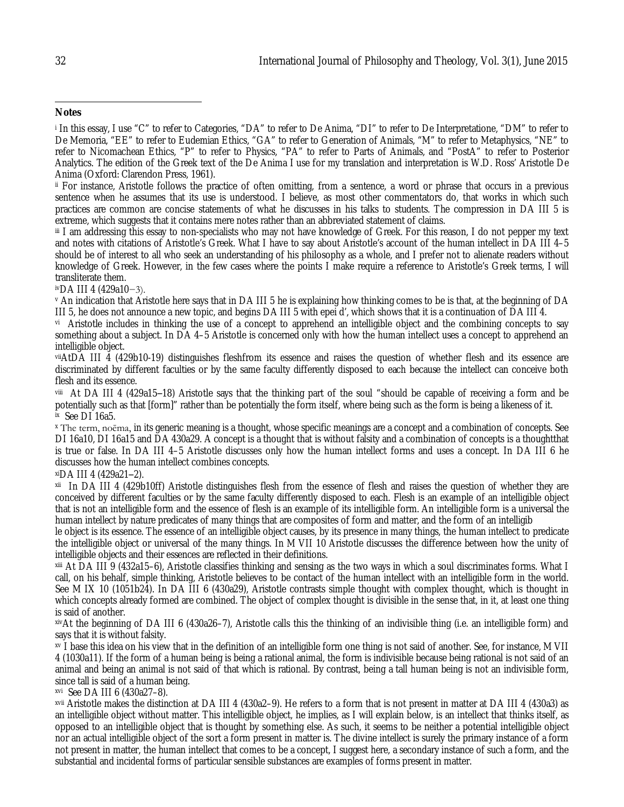ii For instance, Aristotle follows the practice of often omitting, from a sentence, a word or phrase that occurs in a previous sentence when he assumes that its use is understood. I believe, as most other commentators do, that works in which such practices are common are concise statements of what he discusses in his talks to students. The compression in DA III 5 is extreme, which suggests that it contains mere notes rather than an abbreviated statement of claims.

iii I am addressing this essay to non-specialists who may not have knowledge of Greek. For this reason, I do not pepper my text and notes with citations of Aristotle's Greek. What I have to say about Aristotle's account of the human intellect in DA III 4–5 should be of interest to all who seek an understanding of his philosophy as a whole, and I prefer not to alienate readers without knowledge of Greek. However, in the few cases where the points I make require a reference to Aristotle's Greek terms, I will transliterate them.

ivDA III 4 (429a10−3).

<sup>v</sup> An indication that Aristotle here says that in DA III 5 he is explaining how thinking comes to be is that, at the beginning of DA III 5, he does not announce a new topic, and begins DA III 5 with epei d', which shows that it is a continuation of DA III 4.

vi Aristotle includes in thinking the use of a concept to apprehend an intelligible object and the combining concepts to say something about a subject. In DA 4–5 Aristotle is concerned only with how the human intellect uses a concept to apprehend an intelligible object.

viiAtDA III 4 (429b10-19) distinguishes fleshfrom its essence and raises the question of whether flesh and its essence are discriminated by different faculties or by the same faculty differently disposed to each because the intellect can conceive both flesh and its essence.

viii) At DA III 4 (429a15–18) Aristotle says that the thinking part of the soul "should be capable of receiving a form and be potentially such as that [form]" rather than be potentially the form itself, where being such as the form is being a likeness of it. ix See DI 16a5.

<sup>x</sup> The term, noēma, in its generic meaning is a thought, whose specific meanings are a concept and a combination of concepts. See DI 16a10, DI 16a15 and DA 430a29. A concept is a thought that is without falsity and a combination of concepts is a thoughtthat is true or false. In DA III 4–5 Aristotle discusses only how the human intellect forms and uses a concept. In DA III 6 he discusses how the human intellect combines concepts.

 $x$ iDA III 4 (429a21–2).

xii In DA III 4 (429b10ff) Aristotle distinguishes flesh from the essence of flesh and raises the question of whether they are conceived by different faculties or by the same faculty differently disposed to each. Flesh is an example of an intelligible object that is not an intelligible form and the essence of flesh is an example of its intelligible form. An intelligible form is a universal the human intellect by nature predicates of many things that are composites of form and matter, and the form of an intelligib

le object is its essence. The essence of an intelligible object causes, by its presence in many things, the human intellect to predicate the intelligible object or universal of the many things. In M VII 10 Aristotle discusses the difference between how the unity of intelligible objects and their essences are reflected in their definitions.

xiii At DA III 9 (432a15–6), Aristotle classifies thinking and sensing as the two ways in which a soul discriminates forms. What I call, on his behalf, simple thinking, Aristotle believes to be contact of the human intellect with an intelligible form in the world. See M IX 10 (1051b24). In DA III 6 (430a29), Aristotle contrasts simple thought with complex thought, which is thought in which concepts already formed are combined. The object of complex thought is divisible in the sense that, in it, at least one thing is said of another.

xivAt the beginning of DA III 6 (430a26–7), Aristotle calls this the thinking of an indivisible thing (i.e. an intelligible form) and says that it is without falsity.

xv I base this idea on his view that in the definition of an intelligible form one thing is not said of another. See, for instance, M VII 4 (1030a11). If the form of a human being is being a rational animal, the form is indivisible because being rational is not said of an animal and being an animal is not said of that which is rational. By contrast, being a tall human being is not an indivisible form, since tall is said of a human being.

xvi See DA III 6 (430a27–8).

xvii Aristotle makes the distinction at DA III 4 (430a2–9). He refers to a form that is not present in matter at DA III 4 (430a3) as an intelligible object without matter. This intelligible object, he implies, as I will explain below, is an intellect that thinks itself, as opposed to an intelligible object that is thought by something else. As such, it seems to be neither a potential intelligible object nor an actual intelligible object of the sort a form present in matter is. The divine intellect is surely the primary instance of a form not present in matter, the human intellect that comes to be a concept, I suggest here, a secondary instance of such a form, and the substantial and incidental forms of particular sensible substances are examples of forms present in matter.

 $\overline{\phantom{a}}$ **Notes**

<sup>i</sup> In this essay, I use "C" to refer to Categories, "DA" to refer to De Anima, "DI" to refer to De Interpretatione, "DM" to refer to De Memoria, "EE" to refer to Eudemian Ethics, "GA" to refer to Generation of Animals, "M" to refer to Metaphysics, "NE" to refer to Nicomachean Ethics, "P" to refer to Physics, "PA" to refer to Parts of Animals, and "PostA" to refer to Posterior Analytics. The edition of the Greek text of the De Anima I use for my translation and interpretation is W.D. Ross' Aristotle De Anima (Oxford: Clarendon Press, 1961).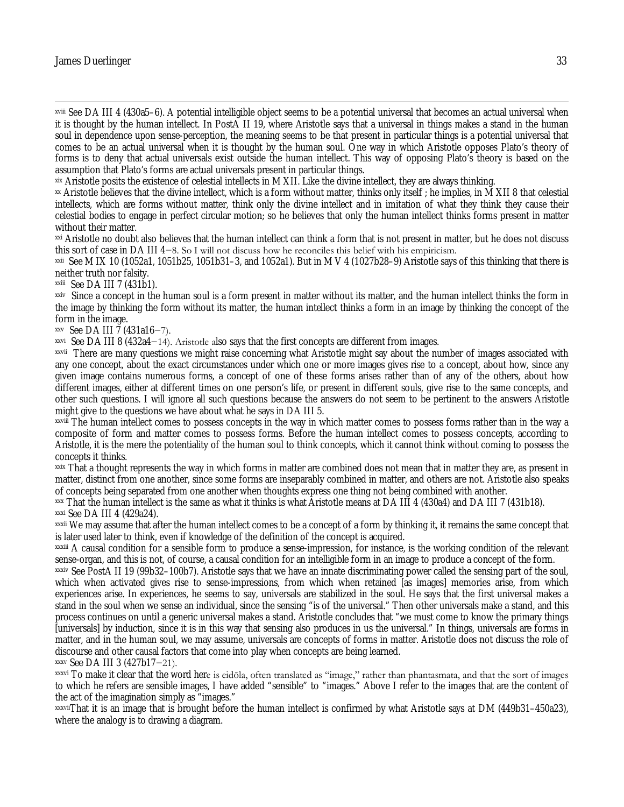### James Duerlinger 33

 $\overline{\phantom{a}}$ 

xviii See DA III 4 (430a5–6). A potential intelligible object seems to be a potential universal that becomes an actual universal when it is thought by the human intellect. In PostA II 19, where Aristotle says that a universal in things makes a stand in the human soul in dependence upon sense-perception, the meaning seems to be that present in particular things is a potential universal that comes to be an actual universal when it is thought by the human soul. One way in which Aristotle opposes Plato's theory of forms is to deny that actual universals exist outside the human intellect. This way of opposing Plato's theory is based on the assumption that Plato's forms are actual universals present in particular things.

xix Aristotle posits the existence of celestial intellects in M XII. Like the divine intellect, they are always thinking.

xx Aristotle believes that the divine intellect, which is a form without matter, thinks only itself ; he implies, in M XII 8 that celestial intellects, which are forms without matter, think only the divine intellect and in imitation of what they think they cause their celestial bodies to engage in perfect circular motion; so he believes that only the human intellect thinks forms present in matter without their matter.

xxi Aristotle no doubt also believes that the human intellect can think a form that is not present in matter, but he does not discuss this sort of case in DA III 4−8. So I will not discuss how he reconciles this belief with his empiricism.

xxii See M IX 10 (1052a1, 1051b25, 1051b31–3, and 1052a1). But in M V 4 (1027b28–9) Aristotle says of this thinking that there is neither truth nor falsity.

xxiii See DA III 7 (431b1).

xxiv Since a concept in the human soul is a form present in matter without its matter, and the human intellect thinks the form in the image by thinking the form without its matter, the human intellect thinks a form in an image by thinking the concept of the form in the image.

xxv See DA III 7 (431a16−7).

xxvi See DA III 8 (432a4−14). Aristotle also says that the first concepts are different from images.

xxvii There are many questions we might raise concerning what Aristotle might say about the number of images associated with any one concept, about the exact circumstances under which one or more images gives rise to a concept, about how, since any given image contains numerous forms, a concept of one of these forms arises rather than of any of the others, about how different images, either at different times on one person's life, or present in different souls, give rise to the same concepts, and other such questions. I will ignore all such questions because the answers do not seem to be pertinent to the answers Aristotle might give to the questions we have about what he says in DA III 5.

xxviii The human intellect comes to possess concepts in the way in which matter comes to possess forms rather than in the way a composite of form and matter comes to possess forms. Before the human intellect comes to possess concepts, according to Aristotle, it is the mere the potentiality of the human soul to think concepts, which it cannot think without coming to possess the concepts it thinks.

xxix That a thought represents the way in which forms in matter are combined does not mean that in matter they are, as present in matter, distinct from one another, since some forms are inseparably combined in matter, and others are not. Aristotle also speaks of concepts being separated from one another when thoughts express one thing not being combined with another.

xxx That the human intellect is the same as what it thinks is what Aristotle means at DA III 4 (430a4) and DA III 7 (431b18). xxxi See DA III 4 (429a24).

xxxii We may assume that after the human intellect comes to be a concept of a form by thinking it, it remains the same concept that is later used later to think, even if knowledge of the definition of the concept is acquired.

xxxiii A causal condition for a sensible form to produce a sense-impression, for instance, is the working condition of the relevant sense-organ, and this is not, of course, a causal condition for an intelligible form in an image to produce a concept of the form.

xxxiv See PostA II 19 (99b32–100b7). Aristotle says that we have an innate discriminating power called the sensing part of the soul, which when activated gives rise to sense-impressions, from which when retained [as images] memories arise, from which experiences arise. In experiences, he seems to say, universals are stabilized in the soul. He says that the first universal makes a stand in the soul when we sense an individual, since the sensing "is of the universal." Then other universals make a stand, and this process continues on until a generic universal makes a stand. Aristotle concludes that "we must come to know the primary things [universals] by induction, since it is in this way that sensing also produces in us the universal." In things, universals are forms in matter, and in the human soul, we may assume, universals are concepts of forms in matter. Aristotle does not discuss the role of discourse and other causal factors that come into play when concepts are being learned.

xxxv See DA III 3 (427b17−21).

xxxvi To make it clear that the word here is eidōla, often translated as "image," rather than phantasmata, and that the sort of images to which he refers are sensible images, I have added "sensible" to "images." Above I refer to the images that are the content of the act of the imagination simply as "images."

xxxviiThat it is an image that is brought before the human intellect is confirmed by what Aristotle says at DM (449b31–450a23), where the analogy is to drawing a diagram.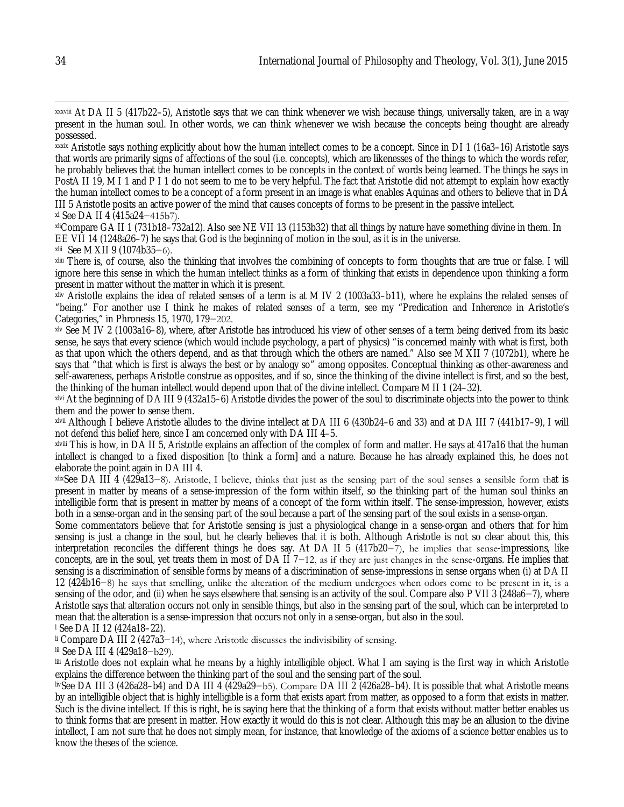xxxix Aristotle says nothing explicitly about how the human intellect comes to be a concept. Since in DI 1 (16a3–16) Aristotle says that words are primarily signs of affections of the soul (i.e. concepts), which are likenesses of the things to which the words refer, he probably believes that the human intellect comes to be concepts in the context of words being learned. The things he says in PostA II 19, M I 1 and P I 1 do not seem to me to be very helpful. The fact that Aristotle did not attempt to explain how exactly the human intellect comes to be a concept of a form present in an image is what enables Aquinas and others to believe that in DA III 5 Aristotle posits an active power of the mind that causes concepts of forms to be present in the passive intellect.

xl See DA II 4 (415a24−415b7).

xliCompare GA II 1 (731b18–732a12). Also see NE VII 13 (1153b32) that all things by nature have something divine in them. In EE VII 14 (1248a26–7) he says that God is the beginning of motion in the soul, as it is in the universe.

xlii See M XII 9 (1074b35−6).

xliii There is, of course, also the thinking that involves the combining of concepts to form thoughts that are true or false. I will ignore here this sense in which the human intellect thinks as a form of thinking that exists in dependence upon thinking a form present in matter without the matter in which it is present.

xliv Aristotle explains the idea of related senses of a term is at M IV 2 (1003a33–b11), where he explains the related senses of "being." For another use I think he makes of related senses of a term, see my "Predication and Inherence in Aristotle's Categories," in Phronesis 15, 1970, 179−202.

xlv See M IV 2 (1003a16–8), where, after Aristotle has introduced his view of other senses of a term being derived from its basic sense, he says that every science (which would include psychology, a part of physics) "is concerned mainly with what is first, both as that upon which the others depend, and as that through which the others are named." Also see M XII 7 (1072b1), where he says that "that which is first is always the best or by analogy so" among opposites. Conceptual thinking as other-awareness and self-awareness, perhaps Aristotle construe as opposites, and if so, since the thinking of the divine intellect is first, and so the best, the thinking of the human intellect would depend upon that of the divine intellect. Compare M II 1 (24–32).

xlvi At the beginning of DA III 9 (432a15–6) Aristotle divides the power of the soul to discriminate objects into the power to think them and the power to sense them.

xlvii Although I believe Aristotle alludes to the divine intellect at DA III 6 (430b24–6 and 33) and at DA III 7 (441b17–9), I will not defend this belief here, since I am concerned only with DA III 4–5.

xlviii This is how, in DA II 5, Aristotle explains an affection of the complex of form and matter. He says at 417a16 that the human intellect is changed to a fixed disposition [to think a form] and a nature. Because he has already explained this, he does not elaborate the point again in DA III 4.

xlixSee DA III 4 (429a13−8). Aristotle, I believe, thinks that just as the sensing part of the soul senses a sensible form that is present in matter by means of a sense-impression of the form within itself, so the thinking part of the human soul thinks an intelligible form that is present in matter by means of a concept of the form within itself. The sense-impression, however, exists both in a sense-organ and in the sensing part of the soul because a part of the sensing part of the soul exists in a sense-organ.

Some commentators believe that for Aristotle sensing is just a physiological change in a sense-organ and others that for him sensing is just a change in the soul, but he clearly believes that it is both. Although Aristotle is not so clear about this, this interpretation reconciles the different things he does say. At DA II 5 (417b20−7), he implies that sense-impressions, like concepts, are in the soul, yet treats them in most of DA II 7−12, as if they are just changes in the sense-organs. He implies that sensing is a discrimination of sensible forms by means of a discrimination of sense-impressions in sense organs when (i) at DA II 12 (424b16−8) he says that smelling, unlike the alteration of the medium undergoes when odors come to be present in it, is a sensing of the odor, and (ii) when he says elsewhere that sensing is an activity of the soul. Compare also P VII 3 (248a6−7), where Aristotle says that alteration occurs not only in sensible things, but also in the sensing part of the soul, which can be interpreted to mean that the alteration is a sense-impression that occurs not only in a sense-organ, but also in the soul. <sup>l</sup> See DA II 12 (424a18–22).

li Compare DA III 2 (427a3−14), where Aristotle discusses the indivisibility of sensing.

lii See DA III 4 (429a18−b29).

liii Aristotle does not explain what he means by a highly intelligible object. What I am saying is the first way in which Aristotle explains the difference between the thinking part of the soul and the sensing part of the soul.

livSee DA III 3 (426a28–b4) and DA III 4 (429a29−b5). Compare DA III 2 (426a28–b4). It is possible that what Aristotle means by an intelligible object that is highly intelligible is a form that exists apart from matter, as opposed to a form that exists in matter. Such is the divine intellect. If this is right, he is saying here that the thinking of a form that exists without matter better enables us to think forms that are present in matter. How exactly it would do this is not clear. Although this may be an allusion to the divine intellect, I am not sure that he does not simply mean, for instance, that knowledge of the axioms of a science better enables us to know the theses of the science.

 $\overline{\phantom{a}}$ xxxviii At DA II 5 (417b22–5), Aristotle says that we can think whenever we wish because things, universally taken, are in a way present in the human soul. In other words, we can think whenever we wish because the concepts being thought are already possessed.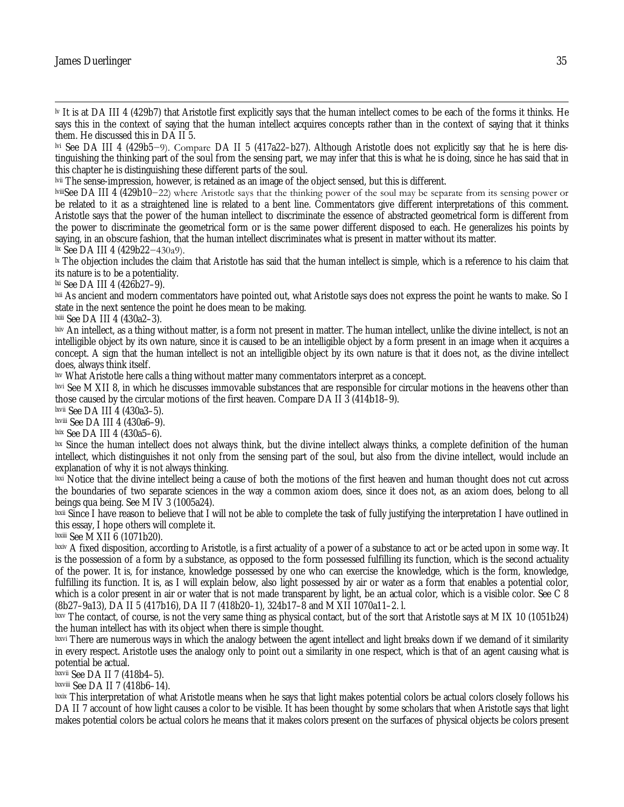$\overline{\phantom{a}}$ lv It is at DA III 4 (429b7) that Aristotle first explicitly says that the human intellect comes to be each of the forms it thinks. He says this in the context of saying that the human intellect acquires concepts rather than in the context of saying that it thinks them. He discussed this in DA II 5.

lvi See DA III 4 (429b5−9). Compare DA II 5 (417a22–b27). Although Aristotle does not explicitly say that he is here distinguishing the thinking part of the soul from the sensing part, we may infer that this is what he is doing, since he has said that in this chapter he is distinguishing these different parts of the soul.

lvii The sense-impression, however, is retained as an image of the object sensed, but this is different.

lviiiSee DA III 4 (429b10−22) where Aristotle says that the thinking power of the soul may be separate from its sensing power or be related to it as a straightened line is related to a bent line. Commentators give different interpretations of this comment. Aristotle says that the power of the human intellect to discriminate the essence of abstracted geometrical form is different from the power to discriminate the geometrical form or is the same power different disposed to each. He generalizes his points by saying, in an obscure fashion, that the human intellect discriminates what is present in matter without its matter.

lix See DA III 4 (429b22−430a9).

<sup>1x</sup> The objection includes the claim that Aristotle has said that the human intellect is simple, which is a reference to his claim that its nature is to be a potentiality.

lxi See DA III 4 (426b27–9).

lxii As ancient and modern commentators have pointed out, what Aristotle says does not express the point he wants to make. So I state in the next sentence the point he does mean to be making.

lxiii See DA III 4 (430a2–3).

lxiv An intellect, as a thing without matter, is a form not present in matter. The human intellect, unlike the divine intellect, is not an intelligible object by its own nature, since it is caused to be an intelligible object by a form present in an image when it acquires a concept. A sign that the human intellect is not an intelligible object by its own nature is that it does not, as the divine intellect does, always think itself.

lxv What Aristotle here calls a thing without matter many commentators interpret as a concept.

lxvi See M XII 8, in which he discusses immovable substances that are responsible for circular motions in the heavens other than those caused by the circular motions of the first heaven. Compare DA II 3 (414b18–9).

lxvii See DA III 4 (430a3–5).

lxviii See DA III 4 (430a6–9).

lxix See DA III 4 (430a5–6).

lxx Since the human intellect does not always think, but the divine intellect always thinks, a complete definition of the human intellect, which distinguishes it not only from the sensing part of the soul, but also from the divine intellect, would include an explanation of why it is not always thinking.

lxxi Notice that the divine intellect being a cause of both the motions of the first heaven and human thought does not cut across the boundaries of two separate sciences in the way a common axiom does, since it does not, as an axiom does, belong to all beings qua being. See M IV 3 (1005a24).

lxxii Since I have reason to believe that I will not be able to complete the task of fully justifying the interpretation I have outlined in this essay, I hope others will complete it.

lxxiii See M XII 6 (1071b20).

 $laxiv$  A fixed disposition, according to Aristotle, is a first actuality of a power of a substance to act or be acted upon in some way. It is the possession of a form by a substance, as opposed to the form possessed fulfilling its function, which is the second actuality of the power. It is, for instance, knowledge possessed by one who can exercise the knowledge, which is the form, knowledge, fulfilling its function. It is, as I will explain below, also light possessed by air or water as a form that enables a potential color, which is a color present in air or water that is not made transparent by light, be an actual color, which is a visible color. See C 8 (8b27–9a13), DA II 5 (417b16), DA II 7 (418b20–1), 324b17–8 and M XII 1070a11–2. l.

lxxv The contact, of course, is not the very same thing as physical contact, but of the sort that Aristotle says at M IX 10 (1051b24) the human intellect has with its object when there is simple thought.

lxxvi There are numerous ways in which the analogy between the agent intellect and light breaks down if we demand of it similarity in every respect. Aristotle uses the analogy only to point out a similarity in one respect, which is that of an agent causing what is potential be actual.

lxxvii See DA II 7 (418b4–5).

lxxviii See DA II 7 (418b6–14).

lxxix This interpretation of what Aristotle means when he says that light makes potential colors be actual colors closely follows his DA II 7 account of how light causes a color to be visible. It has been thought by some scholars that when Aristotle says that light makes potential colors be actual colors he means that it makes colors present on the surfaces of physical objects be colors present